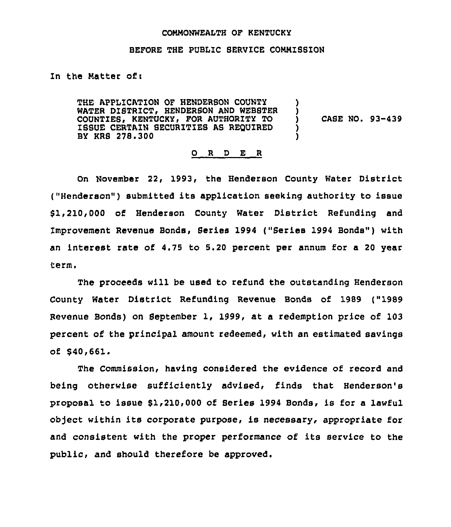## CONNONWEALTH OF KENTUCKY

## BEFORE THE PUBLIC SERVICE CONNISSION

In the Natter of:

THE APPLICATION OF HENDERSON COUNTY WATER DISTRICT, HENDERSON AND WEBSTER COUNTIES, KENTUCKY, FOR AUTHORITY TO ISSUE CERTAIN SECURZTZES AS REOUIRED BY KRS 278.300

CASE NO. 93-439

) )<br>)

) )

## 0 <sup>R</sup> <sup>D</sup> E <sup>R</sup>

On November 22, 1993, the Henderson County Water District ("Henderson") submitted its application seeking authority to issue \$1,210,000 of Henderson County Water District Refunding and Improvement Revenue Bonds, Series <sup>1994</sup> ("Series <sup>1994</sup> Bonds" ) with an interest rate of 4.75 to 5.20 percent per annum for a 20 year term.

The proceeds will be used to refund the outstanding Henderson County Water District Refunding Revenue Bonds of 1989 ("1989 Revenue Banda) on September 1, 1999, at a redemption price of 103 percent of the principal amount redeemed, with an estimated savings of \$40,661.

The Commission, having considered the evidence of record and being otherwise sufficiently advised, finds that Henderson's proposal to issue \$1,210,000 of Series 1994 Bonds, is for a lawful ob)ect within its corporate purpose, is necessary, appropriate for and consistent with the proper performance of its service to the public, and should therefore be approved.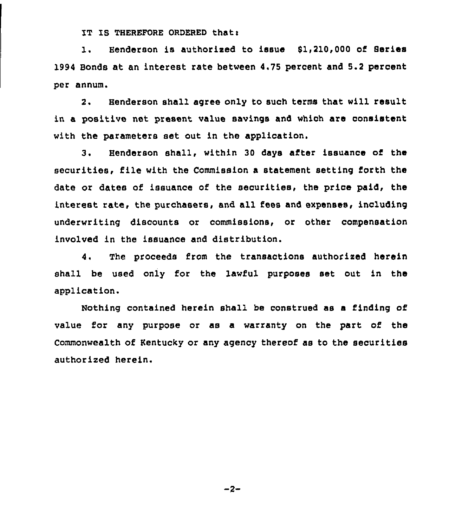IT IS THEREFORE ORDERED that:

1. Henderson is authorized to issue 51,210,000 of Series 1994 Bonds at an interest rate between 4.75 percent and 5.2 percent per annum.

2. Henderson shall agree only to such terms that will result in a positive net present value savings and which are consistent with the parameters set out in the application.

3. Henderson shall, within 30 days after issuance of the securities, file with the Commission a statement setting forth the date or dates of issuance of the securities, the price paid, the interest rate, the purchasers, and all fees and expenses, including underwriting discounts or commissions, or other compensation involved in the issuance and distribution.

4. The proceeds from the transactions authorized herein shall be used only for the lawful purposes set out in the application.

Nothing contained herein shall be construed as a finding of value for any purpose or as a warranty on the part of the Commonwealth of Kentucky or any agency thereof as to the securities authorized herein.

 $-2-$